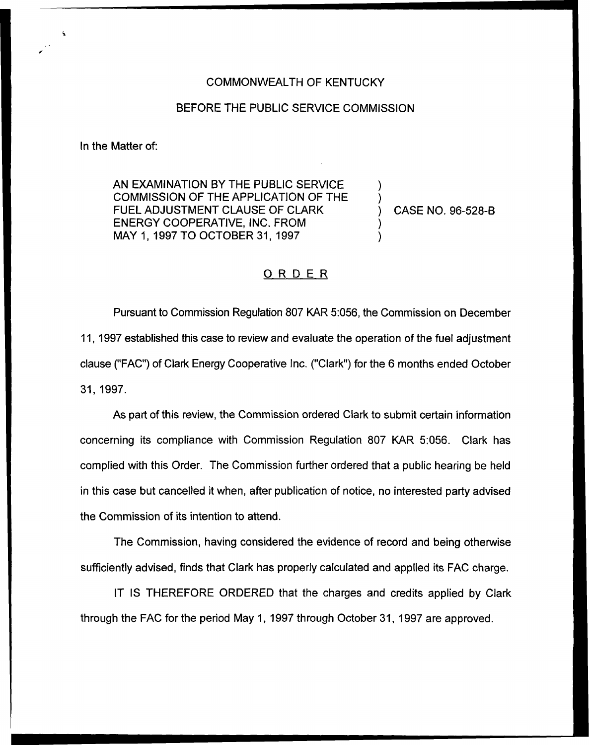## COMMONWEALTH OF KENTUCKY

## BEFORE THE PUBLIC SERVICE COMMISSION

In the Matter of:

AN EXAMINATION BY THE PUBLIC SERVICE COMMISSION OF THE APPLICATION OF THE FUEL ADJUSTMENT CLAUSE OF CLARK ENERGY COOPERATIVE, INC. FROM MAY 1, 1997 TO OCTOBER 31, 1997

) CASE NO. 96-528-B

) )

) )

## ORDER

Pursuant to Commission Regulation 807 KAR 5:056, the Commission on December 11, 1997 established this case to review and evaluate the operation of the fuel adjustment clause ("FAC") of Clark Energy Cooperative Inc. ("Clark") for the 6 months ended Octobe 31, 1997.

As part of this review, the Commission ordered Clark to submit certain information concerning its compliance with Commission Regulation 807 KAR 5:056. Clark has complied with this Order. The Commission further ordered that a public hearing be held in this case but cancelled it when, after publication of notice, no interested party advised the Commission of its intention to attend.

The Commission, having considered the evidence of record and being otherwise sufficiently advised, finds that Clark has properly calculated and applied its FAC charge.

IT IS THEREFORE ORDERED that the charges and credits applied by Clark through the FAC for the period May 1, 1997 through October 31, 1997 are approved.